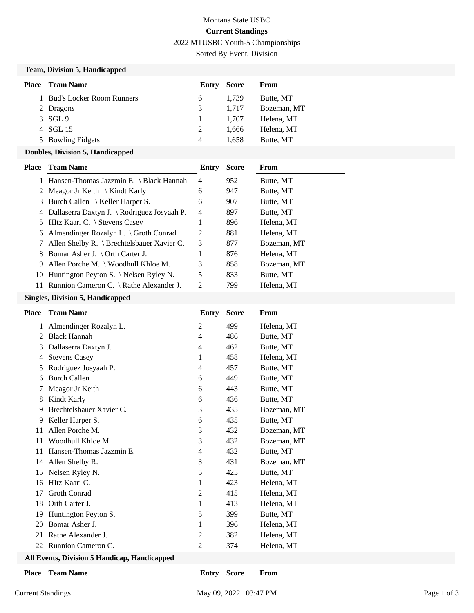# Montana State USBC **Current Standings** 2022 MTUSBC Youth-5 Championships

Sorted By Event, Division

#### **Team, Division 5, Handicapped**

| <b>Place</b> | <b>Team Name</b>            | Entry          | <b>Score</b> | From        |
|--------------|-----------------------------|----------------|--------------|-------------|
|              | 1 Bud's Locker Room Runners | 6              | 1.739        | Butte, MT   |
|              | 2 Dragons                   | 3              | 1.717        | Bozeman, MT |
|              | 3 SGL 9                     |                | 1.707        | Helena, MT  |
|              | 4 SGL 15                    | 2              | 1.666        | Helena, MT  |
|              | 5 Bowling Fidgets           | $\overline{4}$ | 1.658        | Butte, MT   |

#### **Doubles, Division 5, Handicapped**

|    | <b>Place</b> Team Name                        | Entry          | <b>Score</b> | From        |
|----|-----------------------------------------------|----------------|--------------|-------------|
|    | 1 Hansen-Thomas Jazzmin E. \ Black Hannah     | 4              | 952          | Butte, MT   |
|    | 2 Meagor Jr Keith \ Kindt Karly               | 6              | 947          | Butte, MT   |
|    | 3 Burch Callen \ Keller Harper S.             | 6              | 907          | Butte, MT   |
|    | 4 Dallaserra Daxtyn J. \ Rodriguez Josyaah P. | 4              | 897          | Butte, MT   |
| 5. | HItz Kaari C. \ Stevens Casey                 |                | 896          | Helena, MT  |
| 6  | Almendinger Rozalyn L. \ Groth Conrad         | $\mathfrak{D}$ | 881          | Helena, MT  |
| 7  | Allen Shelby R. \ Brechtelsbauer Xavier C.    | 3              | 877          | Bozeman, MT |
| 8  | Bomar Asher J. \ Orth Carter J.               |                | 876          | Helena, MT  |
| 9  | Allen Porche M. $\setminus$ Woodhull Khloe M. | 3              | 858          | Bozeman, MT |
|    | 10 Huntington Peyton S. \ Nelsen Ryley N.     | 5              | 833          | Butte, MT   |
|    | 11 Runnion Cameron C. \ Rathe Alexander J.    | $\mathfrak{D}$ | 799          | Helena, MT  |
|    |                                               |                |              |             |

### **Singles, Division 5, Handicapped**

| <b>Place</b>                                 | <b>Team Name</b>         | Entry          | <b>Score</b> | <b>From</b> |  |
|----------------------------------------------|--------------------------|----------------|--------------|-------------|--|
| $\mathbf{1}$                                 | Almendinger Rozalyn L.   | $\overline{c}$ | 499          | Helena, MT  |  |
| 2                                            | <b>Black Hannah</b>      | 4              | 486          | Butte, MT   |  |
| 3                                            | Dallaserra Daxtyn J.     | 4              | 462          | Butte, MT   |  |
| 4                                            | <b>Stevens Casey</b>     | 1              | 458          | Helena, MT  |  |
| 5                                            | Rodriguez Josyaah P.     | 4              | 457          | Butte, MT   |  |
| 6                                            | <b>Burch Callen</b>      | 6              | 449          | Butte, MT   |  |
|                                              | Meagor Jr Keith          | 6              | 443          | Butte, MT   |  |
| 8                                            | Kindt Karly              | 6              | 436          | Butte, MT   |  |
| 9                                            | Brechtelsbauer Xavier C. | 3              | 435          | Bozeman, MT |  |
| 9.                                           | Keller Harper S.         | 6              | 435          | Butte, MT   |  |
| 11                                           | Allen Porche M.          | 3              | 432          | Bozeman, MT |  |
| 11                                           | Woodhull Khloe M.        | 3              | 432          | Bozeman, MT |  |
| 11                                           | Hansen-Thomas Jazzmin E. | 4              | 432          | Butte, MT   |  |
| 14                                           | Allen Shelby R.          | 3              | 431          | Bozeman, MT |  |
| 15                                           | Nelsen Ryley N.          | 5              | 425          | Butte, MT   |  |
| 16                                           | HItz Kaari C.            | 1              | 423          | Helena, MT  |  |
| 17                                           | <b>Groth Conrad</b>      | 2              | 415          | Helena, MT  |  |
| 18                                           | Orth Carter J.           | 1              | 413          | Helena, MT  |  |
| 19                                           | Huntington Peyton S.     | 5              | 399          | Butte, MT   |  |
| 20                                           | Bomar Asher J.           | 1              | 396          | Helena, MT  |  |
| 21                                           | Rathe Alexander J.       | $\overline{c}$ | 382          | Helena, MT  |  |
| 22                                           | Runnion Cameron C.       | 2              | 374          | Helena, MT  |  |
| All Events, Division 5 Handicap, Handicapped |                          |                |              |             |  |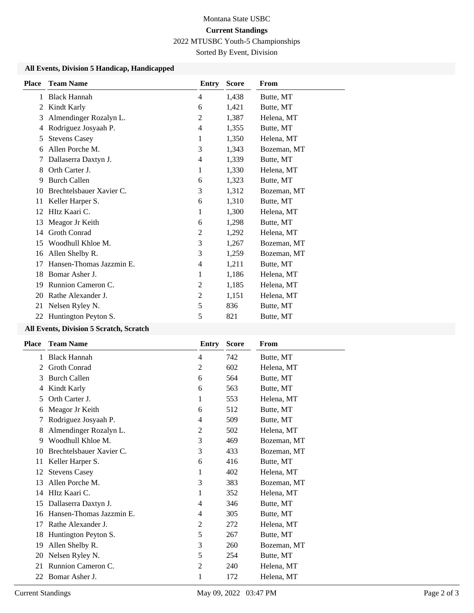# Montana State USBC **Current Standings**

2022 MTUSBC Youth-5 Championships

Sorted By Event, Division

### **All Events, Division 5 Handicap, Handicapped**

| <b>Place</b> | <b>Team Name</b>         | Entry          | <b>Score</b> | From        |
|--------------|--------------------------|----------------|--------------|-------------|
| 1            | <b>Black Hannah</b>      | $\overline{4}$ | 1,438        | Butte, MT   |
| 2            | Kindt Karly              | 6              | 1,421        | Butte, MT   |
| 3            | Almendinger Rozalyn L.   | 2              | 1,387        | Helena, MT  |
| 4            | Rodriguez Josyaah P.     | $\overline{4}$ | 1,355        | Butte, MT   |
| 5            | <b>Stevens Casey</b>     | 1              | 1,350        | Helena, MT  |
| 6            | Allen Porche M.          | 3              | 1,343        | Bozeman, MT |
| 7            | Dallaserra Daxtyn J.     | 4              | 1,339        | Butte, MT   |
| 8            | Orth Carter J.           | 1              | 1,330        | Helena, MT  |
| 9            | <b>Burch Callen</b>      | 6              | 1,323        | Butte, MT   |
| 10           | Brechtelsbauer Xavier C. | 3              | 1,312        | Bozeman, MT |
| 11           | Keller Harper S.         | 6              | 1,310        | Butte, MT   |
| 12           | HItz Kaari C.            | 1              | 1,300        | Helena, MT  |
| 13           | Meagor Jr Keith          | 6              | 1,298        | Butte, MT   |
| 14           | <b>Groth Conrad</b>      | 2              | 1,292        | Helena, MT  |
| 15           | Woodhull Khloe M.        | 3              | 1,267        | Bozeman, MT |
| 16           | Allen Shelby R.          | 3              | 1,259        | Bozeman, MT |
| 17           | Hansen-Thomas Jazzmin E. | 4              | 1,211        | Butte, MT   |
| 18           | Bomar Asher J.           | 1              | 1,186        | Helena, MT  |
| 19           | Runnion Cameron C.       | $\overline{c}$ | 1,185        | Helena, MT  |
| 20           | Rathe Alexander J.       | 2              | 1,151        | Helena, MT  |
| 21           | Nelsen Ryley N.          | 5              | 836          | Butte, MT   |
| 22           | Huntington Peyton S.     | 5              | 821          | Butte, MT   |

### **All Events, Division 5 Scratch, Scratch**

| Place | <b>Team Name</b>         | Entry | <b>Score</b> | From        |
|-------|--------------------------|-------|--------------|-------------|
| 1     | <b>Black Hannah</b>      | 4     | 742          | Butte, MT   |
| 2     | <b>Groth Conrad</b>      | 2     | 602          | Helena, MT  |
| 3     | <b>Burch Callen</b>      | 6     | 564          | Butte, MT   |
| 4     | Kindt Karly              | 6     | 563          | Butte, MT   |
| 5     | Orth Carter J.           | 1     | 553          | Helena, MT  |
| 6     | Meagor Jr Keith          | 6     | 512          | Butte, MT   |
| 7     | Rodriguez Josyaah P.     | 4     | 509          | Butte, MT   |
| 8     | Almendinger Rozalyn L.   | 2     | 502          | Helena, MT  |
| 9     | Woodhull Khloe M.        | 3     | 469          | Bozeman, MT |
| 10    | Brechtelsbauer Xavier C. | 3     | 433          | Bozeman, MT |
| 11    | Keller Harper S.         | 6     | 416          | Butte, MT   |
| 12    | <b>Stevens Casey</b>     | 1     | 402          | Helena, MT  |
| 13    | Allen Porche M.          | 3     | 383          | Bozeman, MT |
| 14    | HItz Kaari C.            | 1     | 352          | Helena, MT  |
| 15    | Dallaserra Daxtyn J.     | 4     | 346          | Butte, MT   |
| 16    | Hansen-Thomas Jazzmin E. | 4     | 305          | Butte, MT   |
| 17    | Rathe Alexander J.       | 2     | 272          | Helena, MT  |
| 18    | Huntington Peyton S.     | 5     | 267          | Butte, MT   |
| 19    | Allen Shelby R.          | 3     | 260          | Bozeman, MT |
| 20    | Nelsen Ryley N.          | 5     | 254          | Butte, MT   |
| 21    | Runnion Cameron C.       | 2     | 240          | Helena, MT  |
| 22    | Bomar Asher J.           | 1     | 172          | Helena, MT  |
|       |                          |       |              |             |